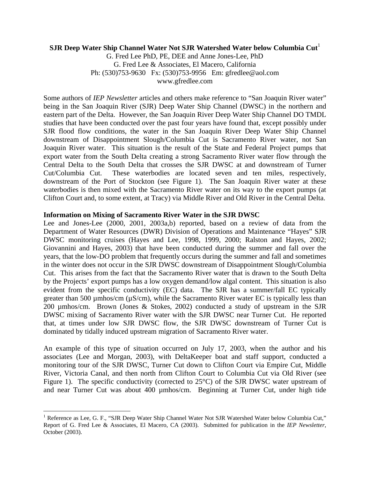## **SJR Deep Water Ship Channel Water Not SJR Watershed Water below Columbia Cut<sup>1</sup>**

G. Fred Lee PhD, PE, DEE and Anne Jones-Lee, PhD G. Fred Lee & Associates, El Macero, California Ph: (530)753-9630 Fx: (530)753-9956 Em: gfredlee@aol.com www.gfredlee.com

Some authors of *IEP Newsletter* articles and others make reference to "San Joaquin River water" being in the San Joaquin River (SJR) Deep Water Ship Channel (DWSC) in the northern and eastern part of the Delta. However, the San Joaquin River Deep Water Ship Channel DO TMDL studies that have been conducted over the past four years have found that, except possibly under SJR flood flow conditions, the water in the San Joaquin River Deep Water Ship Channel downstream of Disappointment Slough/Columbia Cut is Sacramento River water, not San Joaquin River water. This situation is the result of the State and Federal Project pumps that export water from the South Delta creating a strong Sacramento River water flow through the Central Delta to the South Delta that crosses the SJR DWSC at and downstream of Turner Cut/Columbia Cut. These waterbodies are located seven and ten miles, respectively, downstream of the Port of Stockton (see Figure 1). The San Joaquin River water at these waterbodies is then mixed with the Sacramento River water on its way to the export pumps (at Clifton Court and, to some extent, at Tracy) via Middle River and Old River in the Central Delta.

### **Information on Mixing of Sacramento River Water in the SJR DWSC**

Lee and Jones-Lee (2000, 2001, 2003a,b) reported, based on a review of data from the Department of Water Resources (DWR) Division of Operations and Maintenance "Hayes" SJR DWSC monitoring cruises (Hayes and Lee, 1998, 1999, 2000; Ralston and Hayes, 2002; Giovannini and Hayes, 2003) that have been conducted during the summer and fall over the years, that the low-DO problem that frequently occurs during the summer and fall and sometimes in the winter does not occur in the SJR DWSC downstream of Disappointment Slough/Columbia Cut. This arises from the fact that the Sacramento River water that is drawn to the South Delta by the Projects' export pumps has a low oxygen demand/low algal content. This situation is also evident from the specific conductivity (EC) data. The SJR has a summer/fall EC typically greater than 500  $\mu$ mhos/cm ( $\mu$ S/cm), while the Sacramento River water EC is typically less than 200 µmhos/cm. Brown (Jones & Stokes, 2002) conducted a study of upstream in the SJR DWSC mixing of Sacramento River water with the SJR DWSC near Turner Cut. He reported that, at times under low SJR DWSC flow, the SJR DWSC downstream of Turner Cut is dominated by tidally induced upstream migration of Sacramento River water.

An example of this type of situation occurred on July 17, 2003, when the author and his associates (Lee and Morgan, 2003), with DeltaKeeper boat and staff support, conducted a monitoring tour of the SJR DWSC, Turner Cut down to Clifton Court via Empire Cut, Middle River, Victoria Canal, and then north from Clifton Court to Columbia Cut via Old River (see Figure 1). The specific conductivity (corrected to 25°C) of the SJR DWSC water upstream of and near Turner Cut was about 400 µmhos/cm. Beginning at Turner Cut, under high tide

1

<sup>&</sup>lt;sup>1</sup> Reference as Lee, G. F., "SJR Deep Water Ship Channel Water Not SJR Watershed Water below Columbia Cut," Report of G. Fred Lee & Associates, El Macero, CA (2003). Submitted for publication in the *IEP Newsletter*, October (2003).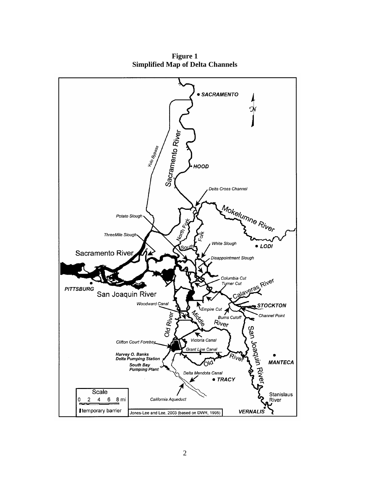

**Figure 1 Simplified Map of Delta Channels**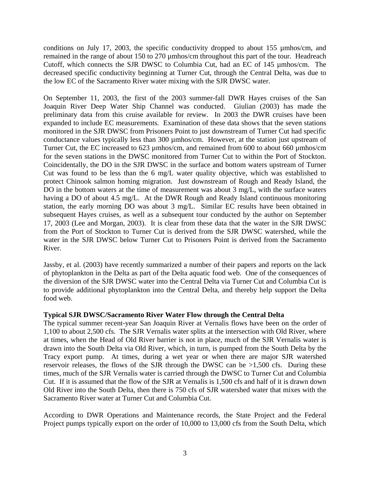conditions on July 17, 2003, the specific conductivity dropped to about 155  $\mu$ mhos/cm, and remained in the range of about 150 to 270 µmhos/cm throughout this part of the tour. Headreach Cutoff, which connects the SJR DWSC to Columbia Cut, had an EC of 145 µmhos/cm. The decreased specific conductivity beginning at Turner Cut, through the Central Delta, was due to the low EC of the Sacramento River water mixing with the SJR DWSC water.

On September 11, 2003, the first of the 2003 summer-fall DWR Hayes cruises of the San Joaquin River Deep Water Ship Channel was conducted. Giulian (2003) has made the preliminary data from this cruise available for review. In 2003 the DWR cruises have been expanded to include EC measurements. Examination of these data shows that the seven stations monitored in the SJR DWSC from Prisoners Point to just downstream of Turner Cut had specific conductance values typically less than 300 µmhos/cm. However, at the station just upstream of Turner Cut, the EC increased to 623 µmhos/cm, and remained from 600 to about 660 µmhos/cm for the seven stations in the DWSC monitored from Turner Cut to within the Port of Stockton. Coincidentally, the DO in the SJR DWSC in the surface and bottom waters upstream of Turner Cut was found to be less than the 6 mg/L water quality objective, which was established to protect Chinook salmon homing migration. Just downstream of Rough and Ready Island, the DO in the bottom waters at the time of measurement was about 3 mg/L, with the surface waters having a DO of about 4.5 mg/L. At the DWR Rough and Ready Island continuous monitoring station, the early morning DO was about 3 mg/L. Similar EC results have been obtained in subsequent Hayes cruises, as well as a subsequent tour conducted by the author on September 17, 2003 (Lee and Morgan, 2003). It is clear from these data that the water in the SJR DWSC from the Port of Stockton to Turner Cut is derived from the SJR DWSC watershed, while the water in the SJR DWSC below Turner Cut to Prisoners Point is derived from the Sacramento River.

Jassby, et al. (2003) have recently summarized a number of their papers and reports on the lack of phytoplankton in the Delta as part of the Delta aquatic food web. One of the consequences of the diversion of the SJR DWSC water into the Central Delta via Turner Cut and Columbia Cut is to provide additional phytoplankton into the Central Delta, and thereby help support the Delta food web.

# **Typical SJR DWSC/Sacramento River Water Flow through the Central Delta**

The typical summer recent-year San Joaquin River at Vernalis flows have been on the order of 1,100 to about 2,500 cfs. The SJR Vernalis water splits at the intersection with Old River, where at times, when the Head of Old River barrier is not in place, much of the SJR Vernalis water is drawn into the South Delta via Old River, which, in turn, is pumped from the South Delta by the Tracy export pump. At times, during a wet year or when there are major SJR watershed reservoir releases, the flows of the SJR through the DWSC can be  $>1,500$  cfs. During these times, much of the SJR Vernalis water is carried through the DWSC to Turner Cut and Columbia Cut. If it is assumed that the flow of the SJR at Vernalis is 1,500 cfs and half of it is drawn down Old River into the South Delta, then there is 750 cfs of SJR watershed water that mixes with the Sacramento River water at Turner Cut and Columbia Cut.

According to DWR Operations and Maintenance records, the State Project and the Federal Project pumps typically export on the order of 10,000 to 13,000 cfs from the South Delta, which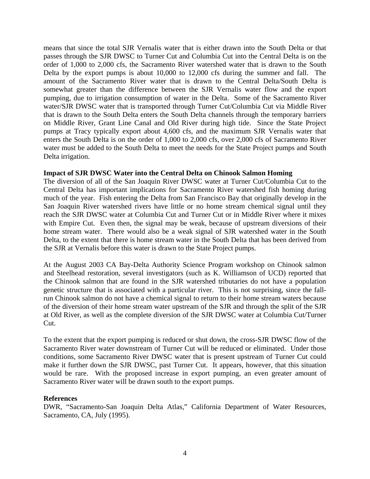means that since the total SJR Vernalis water that is either drawn into the South Delta or that passes through the SJR DWSC to Turner Cut and Columbia Cut into the Central Delta is on the order of 1,000 to 2,000 cfs, the Sacramento River watershed water that is drawn to the South Delta by the export pumps is about 10,000 to 12,000 cfs during the summer and fall. The amount of the Sacramento River water that is drawn to the Central Delta/South Delta is somewhat greater than the difference between the SJR Vernalis water flow and the export pumping, due to irrigation consumption of water in the Delta. Some of the Sacramento River water/SJR DWSC water that is transported through Turner Cut/Columbia Cut via Middle River that is drawn to the South Delta enters the South Delta channels through the temporary barriers on Middle River, Grant Line Canal and Old River during high tide. Since the State Project pumps at Tracy typically export about 4,600 cfs, and the maximum SJR Vernalis water that enters the South Delta is on the order of 1,000 to 2,000 cfs, over 2,000 cfs of Sacramento River water must be added to the South Delta to meet the needs for the State Project pumps and South Delta irrigation.

# **Impact of SJR DWSC Water into the Central Delta on Chinook Salmon Homing**

The diversion of all of the San Joaquin River DWSC water at Turner Cut/Columbia Cut to the Central Delta has important implications for Sacramento River watershed fish homing during much of the year. Fish entering the Delta from San Francisco Bay that originally develop in the San Joaquin River watershed rivers have little or no home stream chemical signal until they reach the SJR DWSC water at Columbia Cut and Turner Cut or in Middle River where it mixes with Empire Cut. Even then, the signal may be weak, because of upstream diversions of their home stream water. There would also be a weak signal of SJR watershed water in the South Delta, to the extent that there is home stream water in the South Delta that has been derived from the SJR at Vernalis before this water is drawn to the State Project pumps.

At the August 2003 CA Bay-Delta Authority Science Program workshop on Chinook salmon and Steelhead restoration, several investigators (such as K. Williamson of UCD) reported that the Chinook salmon that are found in the SJR watershed tributaries do not have a population genetic structure that is associated with a particular river. This is not surprising, since the fallrun Chinook salmon do not have a chemical signal to return to their home stream waters because of the diversion of their home stream water upstream of the SJR and through the split of the SJR at Old River, as well as the complete diversion of the SJR DWSC water at Columbia Cut/Turner Cut.

To the extent that the export pumping is reduced or shut down, the cross-SJR DWSC flow of the Sacramento River water downstream of Turner Cut will be reduced or eliminated. Under those conditions, some Sacramento River DWSC water that is present upstream of Turner Cut could make it further down the SJR DWSC, past Turner Cut. It appears, however, that this situation would be rare. With the proposed increase in export pumping, an even greater amount of Sacramento River water will be drawn south to the export pumps.

### **References**

DWR, "Sacramento-San Joaquin Delta Atlas," California Department of Water Resources, Sacramento, CA, July (1995).